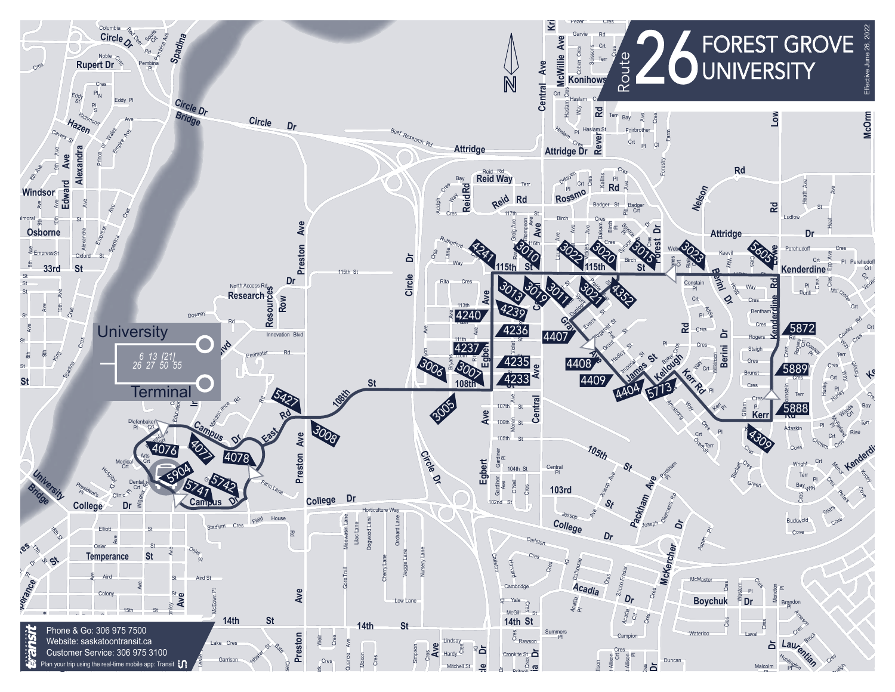